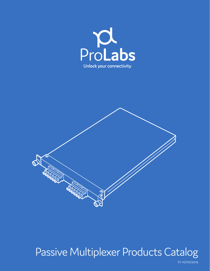



# Passive Multiplexer Products Catalog

V1 10/10/2019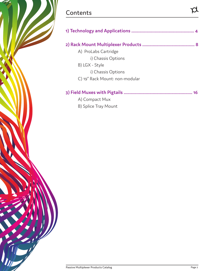## **Contents**

Z.

 $\overline{l}$  /  $l$ 

|                                | 8  |
|--------------------------------|----|
| A) ProLabs Cartridge           |    |
| i) Chassis Options             |    |
| B) LGX - Style                 |    |
| i) Chassis Options             |    |
| C) 19" Rack Mount: non-modular |    |
|                                | 16 |
| A) Compact Mux                 |    |
| B) Splice Tray Mount           |    |

 $\beta$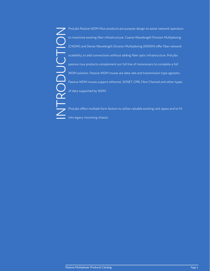ProLabs Passive WDM Mux products are purpose design to assist network operators<br>to maximize existing fiber infrastructure. Coarse Wavelength Division Multiplexing<br>(CWDM) and Dense Wavelength Division Multiplexing (DWDM) of to maximize existing fiber infrastructure. Coarse Wavelength Division Multiplexing (CWDM) and Dense Wavelength Division Multiplexing (DWDM) offer fiber network scalability, to add connections without adding fiber optic infrastructure. ProLabs passive mux products complement our full line of transceivers to complete a full WDM solution. Passive WDM muxes are data rate and transmission type agnostic. Passive WDM muxes support ethernet, SONET, CPRI, Fibre Channel and other types of data supported by WDM.

ProLabs offers multiple form factors to utilize valuable existing rack space and to fit into legacy mounting chassis.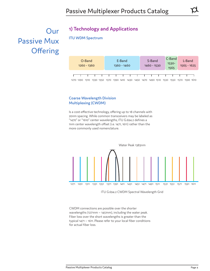## Our Passive Mux Offering

## **1) Technology and Applications**

**ITU WDM Spectrum**



**Coarse Wavelength Division Multiplexing (CWDM)** 

Is a cost-effective technology, offering up to 18 channels with 20nm spacing. While common transceivers may be labeled as "1470" or "1610" center wavelengths, ITU G.694.2 defines a 1nm center wavelength offset (i.e. 1471, 1611) rather than the more commonly used nomenclature.



ITU G.694.2 CWDM Spectral Wavelength Grid

CWDM connections are possible over the shorter wavelengths (1271nm  $\sim$  1451nm), including the water peak. Fiber loss over the short wavelengths is greater than the typical 1471 ~ 1611. Please refer to your local fiber conditions for actual fiber loss.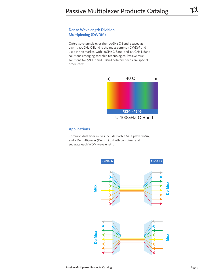#### **Dense Wavelength Division Multiplexing (DWDM)**

Offers 40 channels over the 100GHz C-Band, spaced at 0.8nm. 100GHz C-Band is the most common DWDM grid used in the market, with 50GHz C-Band, and 100GHz L-Band solutions emerging as viable technologies. Passive mux solutions for 50GHz and L-Band network needs are special order items.



ITU 100GHZ C-Band

#### **Applications**

Common dual fiber muxes include both a Multiplexer (Mux) and a Demultiplexer (Demux) to both combined and separate each WDM wavelength.

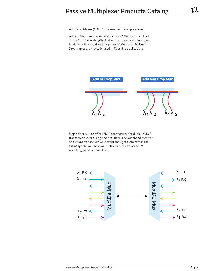Add/Drop Muxes (OADM) are used in two applications.

Add or Drop muxes allow access to a WDM trunk to add or drop a WDM wavelength. Add and Drop muxes offer access to allow both an add and drop to a WDM trunk. Add and Drop muxes are typically used in fiber ring applications.



Single fiber muxes offer WDM connections for duplex WDM transceivers over a single optical fiber. The wideband receiver of a WDM transceiver will accept the light from across the WDM spectrum. These multiplexers require two WDM wavelengths per connection.

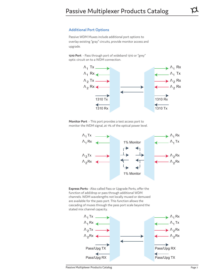#### **Additional Port Options**

Passive WDM Muxes include additional port options to overlay existing "gray" circuits, provide monitor access and upgrade.

**1310 Port** - Pass through port of wideband 1310 or "grey" optic circuit on to a WDM connection.



**Monitor Port** - This port provides a test access port to monitor the WDM signal, at 1% of the optical power level.





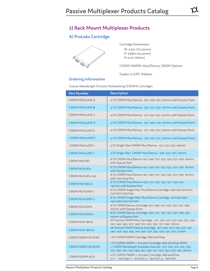## **A) ProLabs Cartridge**



Cartridge Dimensions: W: 6.9in (175.33mm) D: 9.98in (253.4mm) H: 0.7in (18mm)

CWDM, DWDM, Mux/Demux, OADM Options

Duplex LC/UPC Adapter

#### **Ordering Information**

Coarse Wavelength Division Multiplexing (CWDM) Cartridges

| <b>Part Number</b> | <b>Description</b>                                                                                                                                                                                              |
|--------------------|-----------------------------------------------------------------------------------------------------------------------------------------------------------------------------------------------------------------|
| CWDM-MUX-4X1D-A    | 4 Ch CWDM Mux/Demux, 1471, 1491, 1511, 1531nm, with Express Ports                                                                                                                                               |
| CWDM-MUX-4X1D-B    | 4 Ch CWDM Mux/Demux, 1551, 1571, 1591, 1611nm, with Express Ports                                                                                                                                               |
| CWDM-MUX-4X1D-C    | 4 Ch CWDM Mux/Demux, 1511, 1531, 1551, 1571nm, with Express Ports                                                                                                                                               |
| CWDM-MUX-4X1D-D    | 4 Ch CWDM Mux/Demux, 1471, 1491, 1591, 1611nm, with Express Ports                                                                                                                                               |
| CWDM-MUX-4X1D-E    | 4 Ch CWDM Mux/Demux, 1271, 1291, 1311, 1331nm, with Express Ports                                                                                                                                               |
| CWDM-MUX-4X1D-F    | 4 Ch CWDM Mux/Demux, 1331, 1351, 1371, 1391nm, with Express Ports                                                                                                                                               |
| CWDM-MUX-4XSF-1    | 4 Ch Single Fiber CWDM Mux/Demux, 1471, 1511, 1551, 1591nm                                                                                                                                                      |
| CWDM-MUX-4XSF-2    | 4 Ch Single Fiber CWDM Mux/Demux, 1491, 1531, 1571, 1611nm                                                                                                                                                      |
| CWDM-MUX-8D        | 8 Ch CWDM Mux/Demux 1471, 1491, 1511, 1531, 1551, 1571, 1591, 1611nm,<br>with Express Port                                                                                                                      |
| CWDM-MUX-8D+       | 8 Ch CWDM Mux/Demux 1471, 1491, 1511, 1531, 1551, 1571, 1591, 1611nm,<br>with Monitor Port                                                                                                                      |
| CWDM-MUX-8D+1310   | 8 Ch CWDM Mux/Demux 1471, 1491, 1511, 1531, 1551, 1571, 1591, 1611nm,<br>with 1310 Gray Port                                                                                                                    |
| CWDM-MUX-8D-A      | 8 Ch CWDM Mux/Demux 1291, 1311, 1331, 1351, 1371, 1391, 1411,<br>1431nm, with Express Port                                                                                                                      |
| CWDM-MUX-8XSF-1    | 8 Ch CWDM Single Fiber Mux/Demux Cartridge, 1291/1331/1371/1411<br>/1471/1511/1551/1591                                                                                                                         |
| CWDM-MUX-8XSF-2    | 8 Ch CWDM Single Fiber Mux/Demux Cartridge, 1311/1351/1391/<br>1431/1491/1531/1571/1611                                                                                                                         |
| CWDM-MUX-8X1S      | 8 Ch CWDM Demux Cartridge 1471, 1491, 1511, 1531, 1551, 1571, 1591,<br>1611nm with Express Ports                                                                                                                |
| CWDM-MUX-8X1S+     | 8 Ch CWDM Demux Cartridge, 1291, 1311, 1331, 1351, 1371, 1391, 1411,<br>1431nm w/Express Port                                                                                                                   |
| CWDM-MUX-18X1S     | 18 Channel CWDM Mux Cartridge, 1271, 1291, 1311, 1331, 1351, 1371, 1391,<br>1411, 1431, 1451, 1471, 1491, 1511, 1531, 1551, 1571, 1591, 1611nm                                                                  |
| CWDM-MUX-18X1S+    | 18 Channel CWDM Demux Cartridge, 1611, 1591, 1571, 1551, 1531, 1511,<br>1491, 1471, 1451, 1431, 1411, 1391, 1371, 1351, 1331, 1311, 1291, 1271nm                                                                |
| CWDM-OADM-1D-XXXX  | 1 Ch CWDM OADM Cartridge, Add and Drop,                                                                                                                                                                         |
| CWDM-OADM-2D-XXXX  | 1 Ch CWDM OADM + 1310 port Cartridge, Add and Drop XXXX<br>= CWDM Wavelength Available channels 1271, 1291, 1311, 1331, 1351,<br>1371, 1391, 1411, 1431, 1451, 1471, 1491, 1511, 1531, 1551, 1571, 1591, 1611nm |
| CWDM-OADM-3D-X     | 2 Ch CWDM OADM + 1310 port Cartridge, Add and Drop<br>x = 1 - 1471/1491, 2 - 1511/1531, 3 - 1551/1571, 4 - 1591/1611                                                                                            |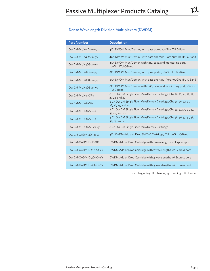#### **Dense Wavelength Division Multiplexers (DWDM)**

| <b>Part Number</b>   | <b>Description</b>                                                                    |
|----------------------|---------------------------------------------------------------------------------------|
| DWDM-MUX-4D-xx-yy    | 4Ch DWDM Mux/Demux, with pass ports, 100Ghz ITU C-Band                                |
| DWDM-MUX4DA-xx-yy    | 4Ch DWDM Mux/Demux, with pass and 1310 Port, 100Ghz ITU C-Band                        |
| DWDM-MUX4DB-xx-yy    | 4Ch DWDM Mux/Demux with 1310, pass, and monitoring port,<br>100Ghz ITU C-Band         |
| DWDM-MUX-8D-xx-yy    | 8Ch DWDM Mux/Demux, with pass ports, 100Ghz ITU C-Band                                |
| DWDM-MUX8DA-xx-vv    | 8Ch DWDM Mux/Demux, with pass and 1310 Port, 100Ghz ITU C-Band                        |
| DWDM-MUX8DB-xx-yy    | 8Ch DWDM Mux/Demux with 1310, pass, and monitoring port, 100Ghz<br><b>ITU C-Band</b>  |
| DWDM-MUX-8xSF-1      | 8 Ch DWDM Single Fiber Mux/Demux Cartridge, Chs 39, 37, 34, 32, 29,<br>27, 24, and 22 |
| DWDM-MUX-8xSF-2      | 8 Ch DWDM Single Fiber Mux/Demux Cartridge, Chs 38, 36, 33, 31,<br>28, 26, 23, and 21 |
| DWDM-MUX-8xSF+-1     | 8 Ch DWDM Single Fiber Mux/Demux Cartridge, Chs 59, 57, 54, 52, 49,<br>47, 44, and 42 |
| DWDM-MUX-8xSF+-2     | 8 Ch DWDM Single Fiber Mux/Demux Cartridge, Chs 58, 56, 53, 51, 48,<br>46, 43, and 41 |
| DWDM-MUX-8xSF-xx-yy  | 8 Ch DWDM Single Fiber Mux/Demux Cartridge                                            |
| DWDM-OADM-4D-xx-yy   | 4Ch OADM Add and Drop DWDM Cartridge, ITU 100Ghz C-Band                               |
| DWDM-OADM-D-1D-XX    | DWDM Add or Drop Cartridge with 1 wavelengths w/ Express port                         |
| DWDM-OADM-D-2D-XX-YY | DWDM Add or Drop Cartridge with 2 wavelengths w/ Express port                         |
| DWDM-OADM-D-3D-XX-YY | DWDM Add or Drop Cartridge with 3 wavelengths w/ Express port                         |
| DWDM-OADM-D-4D-XX-YY | DWDM Add or Drop Cartridge with 4 wavelengths w/ Express port                         |

xx = beginning ITU channel, yy = ending ITU channel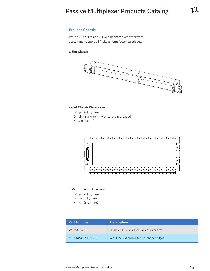#### **ProLabs Chassis**

ProLabs 1U 4-slot and 4U 24-slot chassis are total front access and support all ProLabs form factor cartridges.

#### **4-Slot Chassis**



4-Slot Chassis Dimensions

 W: 19in (480.5mm) D: 10in (253.4mm) \* with cartridges loaded H: 1.7in (43mm)



24-Slot Chassis Dimensions

 W: 19in (480.5mm) D: 11in (278.3mm) H: 7.5in (190.3mm)

| <b>Part Number</b> | <b>Description</b>                            |
|--------------------|-----------------------------------------------|
| WDM-CH-4X1U        | 1U 19" 4-Slot chassis for ProLabs cartridges  |
| MUX-24X4U-CHASSIS  | 4U 19" 24-slot chassis for ProLabs cartridges |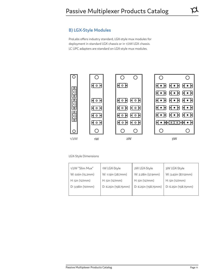ProLabs offers industry standard, LGX-style mux modules for deployment in standard LGX chassis or in 1/2W LGX chassis. LC UPC adapters are standard on LGX-style mux modules.



#### LGX-Style Dimensions

| 1/2W "Slim Mux"                   | 1W LGX-Style         | 2W LGX-Style         | 3W LGX-Style         |
|-----------------------------------|----------------------|----------------------|----------------------|
| W: 0.6in (15.2mm)                 | W: 1.13in (28.7mm)   | W: 2.28in (57.9mm)   | W: 3.43in (87.12mm)  |
| $H: \mathsf{Sin}(\mathsf{127mm})$ | H: 5in (127mm)       | $H: \sin(127mm)$     | H: 5in (127mm)       |
| D: 3.98in (101mm)                 | D: 6.25in (158.75mm) | D: 6.25in (158.75mm) | D: 6.25in (158.75mm) |
|                                   |                      |                      |                      |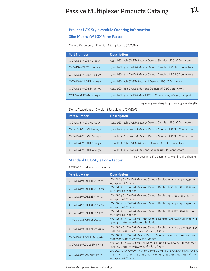#### **ProLabs LGX-Style Module Ordering Information**

#### **Slim Mux 1/2W LGX Form Factor**

#### Coarse Wavelength Division Multiplexers (CWDM)

| <b>Part Number</b>  | <b>Description</b>                                         |
|---------------------|------------------------------------------------------------|
| C-CWDM-MUXSH2-xx-yy | 1/2W LGX 2ch CWDM Mux or Demux, Simplex, UPC LC Connectors |
| C-CWDM-MUXSH4-xx-yy | 1/2W LGX 4ch CWDM Mux or Demux. Simplex, UPC LC Connectors |
| C-CWDM-MUXSH8-xx-yy | 1/2W LGX 8ch CWDM Mux or Demux, Simplex, UPC LC Connectors |
| C-CWDM-MUXDH2-xx-yy | 1/2W LGX 2ch CWDM Mux and Demux, UPC LC Connectors         |
| C-CWDM-MUXDH4-xx-yy | 1/2W LGX 4ch CWDM Mux and Demux, UPC LC Connectors         |
| CMUX-4MUX-SMC-xx-vv | 1/2W LGX 4ch CWDM Mux, UPC LC Connectors, w/1490/1310 port |

xx = beginning wavelength yy = ending wavelength

#### Dense Wavelength Division Multiplexers (DWDM)

| <b>Part Number</b>  | <b>Description</b>                                         |
|---------------------|------------------------------------------------------------|
| C-DWDM-MUXSH2-xx-yy | 1/2W LGX 2ch DWDM Mux or Demux, Simplex, UPC LC Connectors |
| C-DWDM-MUXSH4-xx-yy | 1/2W LGX 4ch DWDM Mux or Demux. Simplex, UPC LC Connectors |
| C-DWDM-MUXSH8-xx-yy | 1/2W LGX 8ch DWDM Mux or Demux, Simplex, UPC LC Connectors |
| C-DWDM-MUXDH2-xx-yy | 1/2W LGX 2ch DWDM Mux and Demux, UPC LC Connectors         |
| C-DWDM-MUXDH4-xx-yy | 1/2W LGX 4ch DWDM Mux and Demux, UPC LC Connectors         |

xx = beginning ITU channel, yy = ending ITU channel

#### **Standard LGX-Style Form Factor**

CWDM Mux/Demux Products

| <b>Part Number</b>    | <b>Description</b>                                                                                                                                                                    |
|-----------------------|---------------------------------------------------------------------------------------------------------------------------------------------------------------------------------------|
| C-CWDMMUXDL4EM-47-53  | 1W LGX 4 Ch CWDM Mux and Demux, Duplex, 1471, 1491, 1511, 1531nm<br>w/Express & Monitor                                                                                               |
| C-CWDMMUXDL4EM-49-55  | 1W LGX 4 Ch CWDM Mux and Demux, Duplex, 1491, 1511, 1531, 1551nm<br>w/Express & Monitor                                                                                               |
| C-CWDMMUXDL4EM-51-57  | 1W LGX 4 Ch CWDM Mux and Demux, Duplex, 1511, 1531, 1551, 1571nm<br>w/Express & Monitor                                                                                               |
| C-CWDMMUXDL4EM-53-59  | 1W LGX 4 Ch CWDM Mux and Demux, Duplex, 1531, 1551, 1571, 1591nm<br>w/Express & Monitor                                                                                               |
| C-CWDMMUXDL4EM-55-61  | 1W LGX 4 Ch CWDM Mux and Demux, Duplex, 1551, 1571, 1591, 1611nm<br>w/Express & Monitor                                                                                               |
| C-CWDMMUXDL8EM-47-61  | 1W LGX 8 Ch CWDM Mux and Demux, Duplex, 1471, 1491, 1511, 1531, 1551,<br>1571, 1591, 1611nm w/Express & Monitor                                                                       |
| C-CWDMMUXDL8EM3-47-61 | 1W LGX 8 Ch CWDM Mux and Demux, Duplex, 1471, 1491, 1511, 1531, 1551,<br>1571, 1591, 1611nm w/Express, Monitor, & 1310                                                                |
| C-CWDMMUXSL8EM-47-61  | 1W LGX 8 Ch CWDM Mux or Demux, Simplex, 1471, 1491, 1511, 1531, 1551,<br>1571, 1591, 1611nm w/Express & Monitor                                                                       |
| C-CWDMMUXSL8EM3-47-61 | 1W LGX 8 Ch CWDM Mux or Demux, Simplex, 1471, 1491, 1511, 1531, 1551,<br>1571, 1591, 1611nm w/Express, Monitor, & 1310                                                                |
| C-CWDMMUXSL18M-27-61  | 2W LGX 18 Ch CWDM Mux or Demux, Simplex, 1271, 1291, 1311, 1331, 1351,<br>1351, 1371, 1391, 1411, 1431, 1451, 1471, 1491, 1511, 1531, 1551, 1571, 1591, 1611nm<br>w/Express & Monitor |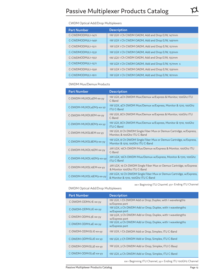#### CWDM Optical Add/Drop Multiplexers

| <b>Part Number</b> | <b>Description</b>                                |
|--------------------|---------------------------------------------------|
| C-CWDMODM2L1-1471  | 1W LGX 1 Ch CWDM OADM, Add and Drop E/W, 1471nm   |
| C-CWDMODM2L1-1491  | 1W LGX 1 Ch CWDM OADM, Add and Drop E/W, 1491nm   |
| C-CWDMODM2L1-1511  | 1W LGX 1 Ch CWDM OADM, Add and Drop E/W, 1511nm   |
| C-CWDMODM2L1-1531  | 1W LGX 1 Ch CWDM OADM, Add and Drop E/W, 1531nm   |
| C-CWDMODM2L1-1551  | 1W LGX 1 Ch CWDM OADM, Add and Drop E/W, 1551nm   |
| C-CWDMODM2L1-1571  | 1W LGX 1 Ch CWDM OADM, Add and Drop E/W, 1571nm s |
| C-CWDMODM2L1-1591  | 1W LGX 1 Ch CWDM OADM, Add and Drop E/W, 1591nm   |
| C-CWDMODM2L1-1611  | 1W LGX 1 Ch CWDM OADM, Add and Drop E/W, 1611nm   |

DWDM Mux/Demux Products

| <b>Part Number</b>      | <b>Description</b>                                                                                        |
|-------------------------|-----------------------------------------------------------------------------------------------------------|
| C-DWDM-MUXDL4EM-xx-yy   | 1W LGX, 4Ch DWDM Mux/Demux w/Express & Monitor, 100Ghz ITU<br>C-Band                                      |
| C-DWDM-MUXDL4EM3-xx-yy  | 1W LGX, 4Ch DWDM Mux/Demux w/Express, Monitor & 1310, 100Ghz<br><b>ITU C-Band</b>                         |
| C-DWDM-MUXDL8EM-xx-yy   | 1W LGX, 8Ch DWDM Mux/Demux w/Express & Monitor, 100Ghz ITU<br>C-Band                                      |
| C-DWDM-MUXDL8EM3-xx-yy  | 1W LGX, 8Ch DWDM Mux/Demux w/Express, Monitor & 1310, 100Ghz<br><b>ITU C-Band</b>                         |
| C-DWDM-MUXSL8EM-xx-yy   | 1W LGX, 8 Ch DWDM Single Fiber Mux or Demux Cartridge, w/Express,<br>Monitor, & 100Ghz ITU C-Band         |
| C-DWDM-MUXSL8EM3-xx-yy  | 1W LGX, 8 Ch DWDM Single Fiber Mux or Demux Cartridge, w/Express,<br>Monitor & 1310, 100Ghz ITU C-Band    |
| C-DWDM-MUXDL16EM-xx-yy  | 2W LGX, 16Ch DWDM Mux/Demux w/Express & Monitor, 100Ghz ITU<br>C-Band                                     |
| C-DWDM-MUXDL16EM3-xx-yy | 2W LGX, 16Ch DWDM Mux/Demux w/Express, Monitor & 1310, 100Ghz<br><b>ITU C-Band</b>                        |
| C-DWDM-MUXSL16EM-xx-yy  | 2W LGX, 16 Ch DWDM Single Fiber Mux or Demux Cartridge, w/Express<br>& Monitor 100Ghz ITU C-Band          |
| C-DWDM-MUXSL16EM3-xx-yy | 2W LGX, 16 Ch DWDM Single Fiber Mux or Demux Cartridge, w/Express,<br>& Monitor & 1310, 100Ghz ITU C-Band |

xx= Beginning ITU Channel, yy= Ending ITU Channel

DWDM Optical Add/Drop Multiplexers

| <b>Part Number</b>    | <b>Description</b>                                                          |
|-----------------------|-----------------------------------------------------------------------------|
| C-DWDM-ODM1L1E-xx-vv  | 1W LGX, 1 Ch DWDM Add or Drop, Duplex, with 1 wavelengths<br>w/Express port |
| C-DWDM-ODM1L2E-xx-yy  | 1W LGX, 2 Ch DWDM Add or Drop, Duplex, with 1 wavelengths<br>w/Express port |
| C-DWDM-ODM1L3E-xx-vv  | 1W LGX, 3 Ch DWDM Add or Drop, Duplex, with 1 wavelengths<br>w/Express port |
| C-DWDM-ODM1L4E-xx-yy  | 1W LGX, 4 Ch DWDM Add or Drop, Duplex, with 1 wavelengths<br>w/Express port |
| C-DWDM-ODM1SL1E-xx-yy | 1W LGX, 1 Ch DWDM Add or Drop, Simplex, ITU C-Band                          |
| C-DWDM-ODM1SL2E-xx-yy | 1W LGX, 2 Ch DWDM Add or Drop, Simplex, ITU C-Band                          |
| C-DWDM-ODM1SL3E-xx-yy | 1W LGX, 3 Ch DWDM Add or Drop, Simplex, ITU C-Band                          |
| C-DWDM-ODM1SL4E-xx-yy | 1W LGX, 4 Ch DWDM Add or Drop, Simplex, ITU C-Band                          |

xx= Beginning ITU Channel, yy= Ending ITU 100GHz Channel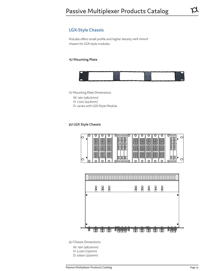## **LGX-Style Chassis**

ProLabs offers small profile and higher density rack mount chassis for LGX-style modules.

#### **1U Mounting Plate**



1U Mounting Plate Dimensions:

 W: 19in (482.6mm) H: 1.72in (43.8mm) D: varies with LGX-Style Module

#### **3U LGX Style Chassis**





3U Chassis Dimensions:

 W: 19in (482.6mm) H: 5.23in (133mm) D: 9.84in (250mm)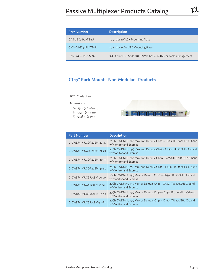| <b>Part Number</b>   | <b>Description</b>                                                |
|----------------------|-------------------------------------------------------------------|
| CAS-LGX5-PLATE-1U    | 1U 3-slot 1W LGX Mounting Plate                                   |
| CAS-1/2LGX5-PLATE-1U | 1U 6-slot 1/2W LGX Mounting Plate                                 |
| CAS-LM-CHASSIS-3U    | 3U 14-slot LGX-Style (28 1/2W) Chassis with rear cable management |

## **C) 19" Rack Mount - Non-Modular - Products**

UPC LC adapters

Dimensions:

 W: 19in (482.6mm) H: 1.73in (44mm) D: 13.38in (340mm)



| <b>Part Number</b>     | <b>Description</b>                                                                       |
|------------------------|------------------------------------------------------------------------------------------|
| C-DWDM-MUXDR20EM-20-39 | 20Ch DWDM 1U 19", Mux and Demux, Ch20 ~ Ch39, ITU 100GHz C-band<br>w/Monitor and Express |
| C-DWDM-MUXDR20EM-21-40 | 20Ch DWDM 1U 19", Mux and Demux, Ch21 ~ Ch40, ITU 100GHz C-band<br>w/Monitor and Express |
| C-DWDM-MUXDR20EM-40-59 | 20Ch DWDM 1U 19", Mux and Demux, Ch40 ~ Ch59, ITU 100GHz C-band<br>w/Monitor and Express |
| C-DWDM-MUXDR20EM-41-60 | 20Ch DWDM 1U 19", Mux and Demux, Ch41 ~ Ch60, ITU 100GHz C-band<br>w/Monitor and Express |
| C-DWDM-MUXSR20EM-20-39 | 20Ch DWDM 1U 19", Mux or Demux, Ch20 ~ Ch39, ITU 100GHz C-band<br>w/Monitor and Express  |
| C-DWDM-MUXSR20EM-21-50 | 20Ch DWDM 1U 19", Mux or Demux, Ch21 ~ Ch40, ITU 100GHz C-band<br>w/Monitor and Express  |
| C-DWDM-MUXSR20EM-40-59 | 20Ch DWDM 1U 19", Mux or Demux, Ch40 ~ Ch59, ITU 100GHz C-band<br>w/Monitor and Express  |
| C-DWDM-MUXSR20EM-51-60 | 20Ch DWDM 1U 19", Mux or Demux, Ch41 ~ Ch60, ITU 100GHz C-band<br>w/Monitor and Express  |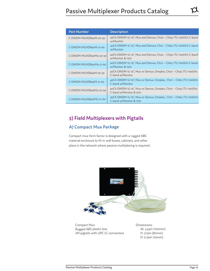| <b>Part Number</b>     | <b>Description</b>                                                                          |
|------------------------|---------------------------------------------------------------------------------------------|
| C-DWDM-MUXDR40M-20-59  | 40Ch DWDM 1U 19", Mux and Demux, Ch20 ~ Ch59, ITU 100GHz C-band<br>w/Monitor                |
| C-DWDM-MUXDR40M-21-60  | 40Ch DWDM 1U 19", Mux and Demux, Ch21 ~ Ch60, ITU 100GHz C-band<br>w/Monitor                |
| C-DWDM-MUXDR40M3-20-59 | 40Ch DWDM 1U 19", Mux and Demux, Ch20 ~ Ch59, ITU 100GHz C-band<br>w/Monitor & 1310         |
| C-DWDM-MUXDR40M3-21-60 | 40Ch DWDM 1U 19", Mux and Demux, Ch21 ~ Ch60, ITU 100GHz C-band<br>w/Monitor & 1310         |
| C-DWDM-MUXSR40M-20-59  | 40Ch DWDM 1U 19", Mux or Demux, Simplex, Ch20 $\sim$ Ch59, ITU 100GHz<br>C-band w/Monitor   |
| C-DWDM-MUXSR40M-21-60  | 40Ch DWDM 1U 19", Mux or Demux, Simplex, Ch21 ~ Ch60, ITU 100GHz<br>C-band w/Monitor        |
| C-DWDM-MUXSR40M3-20-59 | 40Ch DWDM 1U 19", Mux or Demux, Simplex, Ch20 ~ Ch59, ITU 100GHz<br>C-band w/Monitor & 1310 |
| C-DWDM-MUXSR40M3-21-60 | 40Ch DWDM 1U 19", Mux or Demux, Simplex, Ch21 ~ Ch60, ITU 100GHz<br>C-band w/Monitor & 1310 |

## **Part Number 3) Field Multiplexers with Pigtails**

## **A) Compact Mux Package**

Compact mux form factor is designed with a rugged ABS material enclosure to fit in wall boxes, cabinets, and other place in the network where passive multiplexing is required.



Compact Mux Rugged ABS plastic box 2M pigtails with UPC LC connectors Dimensions: W: 3.93in (100mm) H: 3.15in (80mm) D: 0.39in (10mm)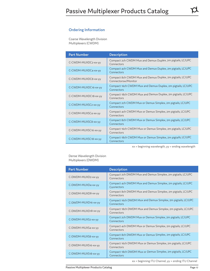#### **Ordering Information**

Coarse Wavelength Division Multiplexers (CWDM)

| <b>Part Number</b>   | <b>Description</b>                                                                |
|----------------------|-----------------------------------------------------------------------------------|
| C-CWDM-MUXDC2-xx-yy  | Compact 2ch CWDM Mux and Demux Duplex, 2m pigtails, LC/UPC<br>Connectors          |
| C-CWDM-MUXDC4-xx-yy  | Compact 4ch CWDM Mux and Demux Duplex, 2m pigtails, LC/UPC<br>Connectors          |
| C-CWDM-MUXDC8-xx-yy  | Compact 8ch CWDM Mux and Demux Duplex, 2m pigtails, LC/UPC<br>Connectorsw/Monitor |
| C-CWDM-MUXDC16-xx-yy | Compact 16ch CWDM Mux and Demux Duplex, 2m pigtails, LC/UPC<br>Connectors         |
| C-CWDM-MUXDC18-xx-yy | Compact 18ch CWDM Mux and Demux Duplex, 2m pigtails, LC/UPC<br>Connectors         |
| C-CWDM-MUXSC2-xx-yy  | Compact 2ch CWDM Mux or Demux Simplex, 2m pigtails, LC/UPC<br>Connectors          |
| C-CWDM-MUXSC4-xx-yy  | Compact 4ch CWDM Mux or Demux Simplex, 2m pigtails, LC/UPC<br>Connectors          |
| C-CWDM-MUXSC8-xx-yy  | Compact 8ch CWDM Mux or Demux Simplex, 2m pigtails, LC/UPC<br>Connectors          |
| C-CWDM-MUXSC16-xx-yy | Compact 16ch CWDM Mux or Demux Simplex, 2m pigtails, LC/UPC<br>Connectors         |
| C-CWDM-MUXSC18-xx-yy | Compact 18ch CWDM Mux or Demux Simplex, 2m pigtails, LC/UPC<br>Connectors         |

 $xx =$  beginning wavelength,  $yy =$  ending wavelength

Dense Wavelength Division Multiplexers (DWDM)

| <b>Part Number</b>  | <b>Description</b>                                                         |
|---------------------|----------------------------------------------------------------------------|
| C-DWDM-MUXD2-xx-yy  | Compact 2ch DWDM Mux and Demux Simplex, 2m pigtails, LC/UPC<br>Connectors  |
| C-DWDM-MUXD4-xx-yy  | Compact 4ch DWDM Mux and Demux Simplex, 2m pigtails, LC/UPC<br>Connectors  |
| C-DWDM-MUXD8-xx-yy  | Compact 8ch DWDM Mux and Demux Simplex, 2m pigtails, LC/UPC<br>Connectors  |
| C-DWDM-MUXD16-xx-yy | Compact 16ch DWDM Mux and Demux Simplex, 2m pigtails, LC/UPC<br>Connectors |
| C-DWDM-MUXD18-xx-yy | Compact 18ch DWDM Mux and Demux Simplex, 2m pigtails, LC/UPC<br>Connectors |
| C-DWDM-MUXS2-xx-yy  | Compact 2ch DWDM Mux or Demux Simplex, 2m pigtails, LC/UPC<br>Connectors   |
| C-DWDM-MUXS4-xx-yy  | Compact 4ch DWDM Mux or Demux Simplex, 2m pigtails, LC/UPC<br>Connectors   |
| C-DWDM-MUXS8-xx-yy  | Compact 8ch DWDM Mux or Demux Simplex, 2m pigtails, LC/UPC<br>Connectors   |
| C-DWDM-MUXS16-xx-yy | Compact 16ch DWDM Mux or Demux Simplex, 2m pigtails, LC/UPC<br>Connectors  |
| C-DWDM-MUXS18-xx-yy | Compact 18ch DWDM Mux or Demux Simplex, 2m pigtails, LC/UPC<br>Connectors  |

xx = beginning ITU Channel, yy = ending ITU Channel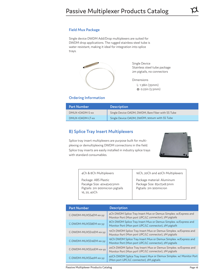#### **Field Mux Package**

Single device DWDM Add/Drop multiplexers are suited for DWDM drop applications. The rugged stainless steel tube is water resistant, making it ideal for integration into splice trays.



Single Device Stainless steel tube package 2m pigtails, no connectors

Dimensions L: 1.38in (35mm) Φ: 0.22in (5.5mm)

#### **Ordering Information**

| <b>Part Number</b> | <b>Description</b>                                |
|--------------------|---------------------------------------------------|
| DMUX-10ADM-S-xx    | Single Device OADM, DWDM, Bare Fiber with SS Tube |
| DMUX-1OADM-LT-xx   | Single Device OADM, DWDM, 900um with SS Tube      |

#### **B) Splice Tray Insert Multiplexers**

Splice tray insert multiplexers are purpose built for multiplexing or demultiplexing DWDM connections in the field. Splice tray inserts are easily installed in industry splice trays with standard consumables.



| 4Ch & 8Ch Multiplexers                                                                               | 16Ch, 20Ch and 40Ch Multiplexers                                                  |
|------------------------------------------------------------------------------------------------------|-----------------------------------------------------------------------------------|
| Package: ABS Plastic<br>Pacakge Size: 40x45x9.5mm<br>Pigtails: 2m 900micron pigtails<br>16, 20, 40Ch | Package material: Aluminum<br>Package Size: 85x75x8.5mm<br>Pigtails: 2m 900micron |

| <b>Part Number</b>     | <b>Description</b>                                                                                                        |
|------------------------|---------------------------------------------------------------------------------------------------------------------------|
| C-DWDM-MUXSS4EM-xx-yy  | 4Ch DWDM Splice Tray Insert Mux or Demux Simplex. w/Express and<br>Monitor Port (Mon port UPC/LC connector), 2M pigtails  |
| C-DWDM-MUXSS8EM-xx-yy  | 8Ch DWDM Splice Tray Insert Mux or Demux Simplex. w/Express and<br>Monitor Port (Mon port UPC/LC connector), 2M pigtails  |
| C-DWDM-MUXSS10EM-xx-yy | 10Ch DWDM Splice Tray Insert Mux or Demux Simplex. w/Express and<br>Monitor Port (Mon port UPC/LC connector), 2M pigtails |
| C-DWDM-MUXSS16EM-xx-yy | 16Ch DWDM Splice Tray Insert Mux or Demux Simplex. w/Express and<br>Monitor Port (Mon port UPC/LC connector), 2M pigtails |
| C-DWDM-MUXSS20EM-xx-yy | 20Ch DWDM Splice Tray Insert Mux or Demux Simplex. w/Express and<br>Monitor Port (Mon port UPC/LC connector), 2M pigtails |
| C-DWDM-MUXSS40M-xx-yy  | 40Ch DWDM Splice Tray Insert Mux or Demux Simplex. w/ Monitor Port<br>(Mon port UPC/LC connector), 2M pigtails            |

Passive Multiplexer Products Catalog **Page 18** and Page 18 and Page 18 and Page 18 and Page 18 and Page 18 and Page 18 and Page 18 and Page 18 and Page 18 and Page 18 and Page 18 and Page 18 and Page 18 and Page 18 and Pag